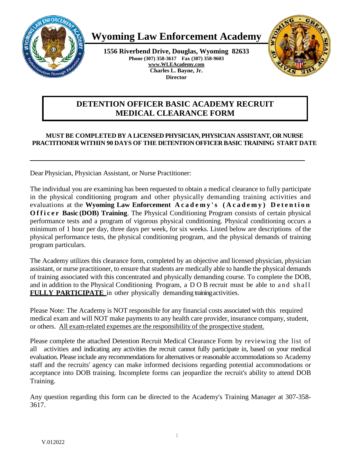

# **Wyoming Law Enforcement Academy**

**1556 Riverbend Drive, Douglas, Wyoming 82633 Phone (307) 358-3617 Fax (307) 358-9603 [www.WLEAcademy.com](http://www.wleacademy.com/) Charles L. Bayne, Jr. Director**



## **DETENTION OFFICER BASIC ACADEMY RECRUIT MEDICAL CLEARANCE FORM**

### **MUST BE COMPLETED BY A LICENSED PHYSICIAN, PHYSICIAN ASSISTANT, OR NURSE PRACTITIONER WITHIN 90 DAYS OF THE DETENTION OFFICER BASIC TRAINING START DATE**

Dear Physician, Physician Assistant, or Nurse Practitioner:

The individual you are examining has been requested to obtain a medical clearance to fully participate in the physical conditioning program and other physically demanding training activities and evaluations at the **Wyoming Law Enforcement Academy 's (Academy) Detention Officer Basic (DOB) Training**. The Physical Conditioning Program consists of certain physical performance tests and a program of vigorous physical conditioning. Physical conditioning occurs a minimum of 1 hour per day, three days per week, for six weeks. Listed below are descriptions of the physical performance tests, the physical conditioning program, and the physical demands of training program particulars.

The Academy utilizes this clearance form, completed by an objective and licensed physician, physician assistant, or nurse practitioner, to ensure that students are medically able to handle the physical demands of training associated with this concentrated and physically demanding course. To complete the DOB, and in addition to the Physical Conditioning Program, a D O B recruit must be able to and shall **FULLY PARTICIPATE** in other physically demanding training activities.

Please Note: The Academy is NOT responsible for any financial costs associated with this required medical exam and will NOT make payments to any health care provider, insurance company, student, or others. All exam-related expenses are the responsibility of the prospective student.

Please complete the attached Detention Recruit Medical Clearance Form by reviewing the list of all activities and indicating any activities the recruit cannot fully participate in, based on your medical evaluation. Please include any recommendations for alternatives or reasonable accommodations so Academy staff and the recruits' agency can make informed decisions regarding potential accommodations or acceptance into DOB training. Incomplete forms can jeopardize the recruit's ability to attend DOB Training.

Any question regarding this form can be directed to the Academy's Training Manager at 307-358- 3617.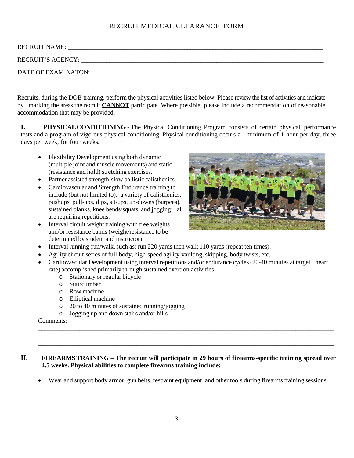#### RECRUIT MEDICAL CLEARANCE FORM

| <b>RECRUIT NAME:</b> |
|----------------------|
| RECRUIT'S AGENCY:    |
| DATE OF EXAMINATON:  |

Recruits, during the DOB training, perform the physical activities listed below. Please review the list of activities and indicate by marking the areas the recruit **CANNOT** participate. Where possible, please include a recommendation of reasonable accommodation that may be provided.

**I. PHYSICALCONDITIONING -** The Physical Conditioning Program consists of certain physical performance tests and a program of vigorous physical conditioning. Physical conditioning occurs a minimum of 1 hour per day, three days per week, for four weeks.

- Flexibility Development using both dynamic (multiple joint and muscle movements) and static (resistance and hold) stretching exercises.
- Partner assisted strength-slow ballistic calisthenics.
- Cardiovascular and Strength Endurance training to include (but not limited to): a variety of calisthenics, pushups, pull-ups, dips, sit-ups, up-downs (burpees), sustained planks, knee bends/squats, and jogging; all are requiring repetitions.
- Interval circuit weight training with free weights and/or resistance bands (weight/resistance to be determined by student and instructor)



- Interval running-run/walk, such as: run 220 yards then walk 110 yards (repeat ten times).
- Agility circuit-series of full-body, high-speed agility-vaulting, skipping, body twists, etc.
- Cardiovascular Development using interval repetitions and/or endurance cycles (20-40 minutes at target heart rate) accomplished primarily through sustained exertion activities.
	- o Stationary or regular bicycle
	- o Stairclimber
	- o Row machine
	- o Elliptical machine
	- o 20 to 40 minutes of sustained running/jogging
	- o Jogging up and down stairs and/or hills

Comments:

#### **II. FIREARMSTRAINING – The recruit will participate in 29 hours of firearms-specific training spread over 4.5 weeks. Physical abilities to complete firearms training include:**

• Wear and support body armor, gun belts, restraint equipment, and other tools during firearms training sessions.

\_\_\_\_\_\_\_\_\_\_\_\_\_\_\_\_\_\_\_\_\_\_\_\_\_\_\_\_\_\_\_\_\_\_\_\_\_\_\_\_\_\_\_\_\_\_\_\_\_\_\_\_\_\_\_\_\_\_\_\_\_\_\_\_\_\_\_\_\_\_\_\_\_\_\_\_\_\_\_\_\_\_\_\_\_\_\_\_\_\_\_\_\_ \_\_\_\_\_\_\_\_\_\_\_\_\_\_\_\_\_\_\_\_\_\_\_\_\_\_\_\_\_\_\_\_\_\_\_\_\_\_\_\_\_\_\_\_\_\_\_\_\_\_\_\_\_\_\_\_\_\_\_\_\_\_\_\_\_\_\_\_\_\_\_\_\_\_\_\_\_\_\_\_\_\_\_\_\_\_\_\_\_\_\_\_\_ \_\_\_\_\_\_\_\_\_\_\_\_\_\_\_\_\_\_\_\_\_\_\_\_\_\_\_\_\_\_\_\_\_\_\_\_\_\_\_\_\_\_\_\_\_\_\_\_\_\_\_\_\_\_\_\_\_\_\_\_\_\_\_\_\_\_\_\_\_\_\_\_\_\_\_\_\_\_\_\_\_\_\_\_\_\_\_\_\_\_\_\_\_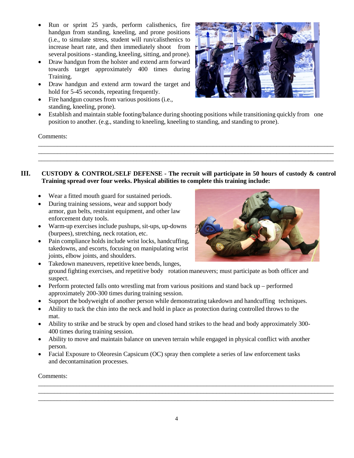- Run or sprint 25 yards, perform calisthenics, fire handgun from standing, kneeling, and prone positions (i.e., to simulate stress, student will run/calisthenics to increase heart rate, and then immediately shoot from several positions-standing, kneeling, sitting, and prone).
- Draw handgun from the holster and extend arm forward towards target approximately 400 times during Training.
- Draw handgun and extend arm toward the target and hold for 5-45 seconds, repeating frequently.
- Fire handgun courses from various positions (i.e., standing, kneeling, prone).



• Establish and maintain stable footing/balance during shooting positions while transitioning quickly from one position to another. (e.g., standing to kneeling, kneeling to standing, and standing to prone).

\_\_\_\_\_\_\_\_\_\_\_\_\_\_\_\_\_\_\_\_\_\_\_\_\_\_\_\_\_\_\_\_\_\_\_\_\_\_\_\_\_\_\_\_\_\_\_\_\_\_\_\_\_\_\_\_\_\_\_\_\_\_\_\_\_\_\_\_\_\_\_\_\_\_\_\_\_\_\_\_\_\_\_\_\_\_\_\_\_\_\_\_\_ \_\_\_\_\_\_\_\_\_\_\_\_\_\_\_\_\_\_\_\_\_\_\_\_\_\_\_\_\_\_\_\_\_\_\_\_\_\_\_\_\_\_\_\_\_\_\_\_\_\_\_\_\_\_\_\_\_\_\_\_\_\_\_\_\_\_\_\_\_\_\_\_\_\_\_\_\_\_\_\_\_\_\_\_\_\_\_\_\_\_\_\_\_ \_\_\_\_\_\_\_\_\_\_\_\_\_\_\_\_\_\_\_\_\_\_\_\_\_\_\_\_\_\_\_\_\_\_\_\_\_\_\_\_\_\_\_\_\_\_\_\_\_\_\_\_\_\_\_\_\_\_\_\_\_\_\_\_\_\_\_\_\_\_\_\_\_\_\_\_\_\_\_\_\_\_\_\_\_\_\_\_\_\_\_\_\_

Comments:

#### **III. CUSTODY & CONTROL/SELF DEFENSE - The recruit will participate in 50 hours of custody & control Training spread over four weeks. Physical abilities to complete this training include:**

- Wear a fitted mouth guard for sustained periods.
- During training sessions, wear and support body armor, gun belts, restraint equipment, and other law enforcement duty tools.
- Warm-up exercises include pushups, sit-ups, up-downs (burpees), stretching, neck rotation, etc.
- Pain compliance holds include wrist locks, handcuffing, takedowns, and escorts, focusing on manipulating wrist joints, elbow joints, and shoulders.



- Takedown maneuvers, repetitive knee bends, lunges, ground fighting exercises, and repetitive body rotationmaneuvers; must participate as both officer and suspect.
- Perform protected falls onto wrestling mat from various positions and stand back up performed approximately 200-300 times during training session.
- Support the bodyweight of another person while demonstrating takedown and handcuffing techniques.
- Ability to tuck the chin into the neck and hold in place as protection during controlled throws to the mat.
- Ability to strike and be struck by open and closed hand strikes to the head and body approximately 300- 400 times during training session.
- Ability to move and maintain balance on uneven terrain while engaged in physical conflict with another person.
- Facial Exposure to Oleoresin Capsicum (OC) spray then complete a series of law enforcement tasks and decontamination processes.

Comments:

\_\_\_\_\_\_\_\_\_\_\_\_\_\_\_\_\_\_\_\_\_\_\_\_\_\_\_\_\_\_\_\_\_\_\_\_\_\_\_\_\_\_\_\_\_\_\_\_\_\_\_\_\_\_\_\_\_\_\_\_\_\_\_\_\_\_\_\_\_\_\_\_\_\_\_\_\_\_\_\_\_\_\_\_\_\_\_\_\_\_\_\_\_ \_\_\_\_\_\_\_\_\_\_\_\_\_\_\_\_\_\_\_\_\_\_\_\_\_\_\_\_\_\_\_\_\_\_\_\_\_\_\_\_\_\_\_\_\_\_\_\_\_\_\_\_\_\_\_\_\_\_\_\_\_\_\_\_\_\_\_\_\_\_\_\_\_\_\_\_\_\_\_\_\_\_\_\_\_\_\_\_\_\_\_\_\_ \_\_\_\_\_\_\_\_\_\_\_\_\_\_\_\_\_\_\_\_\_\_\_\_\_\_\_\_\_\_\_\_\_\_\_\_\_\_\_\_\_\_\_\_\_\_\_\_\_\_\_\_\_\_\_\_\_\_\_\_\_\_\_\_\_\_\_\_\_\_\_\_\_\_\_\_\_\_\_\_\_\_\_\_\_\_\_\_\_\_\_\_\_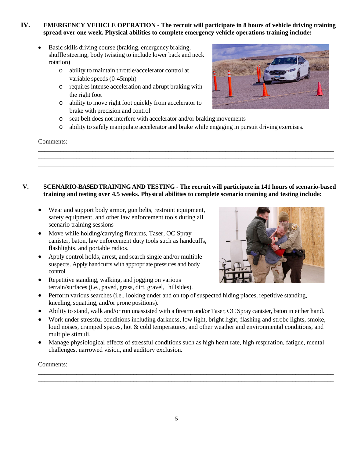#### **IV. EMERGENCY VEHICLE OPERATION - The recruit will participate in 8 hours of vehicle driving training spread over one week. Physical abilities to complete emergency vehicle operations training include:**

- Basic skills driving course (braking, emergency braking, shuffle steering, body twisting to include lower back and neck rotation)
	- o ability to maintain throttle/accelerator control at variable speeds (0-45mph)
	- o requires intense acceleration and abrupt braking with the right foot
	- o ability to move right foot quickly from accelerator to brake with precision and control
	- o seat belt does not interfere with accelerator and/or braking movements
	- o ability to safely manipulate accelerator and brake while engaging in pursuit driving exercises.

\_\_\_\_\_\_\_\_\_\_\_\_\_\_\_\_\_\_\_\_\_\_\_\_\_\_\_\_\_\_\_\_\_\_\_\_\_\_\_\_\_\_\_\_\_\_\_\_\_\_\_\_\_\_\_\_\_\_\_\_\_\_\_\_\_\_\_\_\_\_\_\_\_\_\_\_\_\_\_\_\_\_\_\_\_\_\_\_\_\_\_\_\_ \_\_\_\_\_\_\_\_\_\_\_\_\_\_\_\_\_\_\_\_\_\_\_\_\_\_\_\_\_\_\_\_\_\_\_\_\_\_\_\_\_\_\_\_\_\_\_\_\_\_\_\_\_\_\_\_\_\_\_\_\_\_\_\_\_\_\_\_\_\_\_\_\_\_\_\_\_\_\_\_\_\_\_\_\_\_\_\_\_\_\_\_\_ \_\_\_\_\_\_\_\_\_\_\_\_\_\_\_\_\_\_\_\_\_\_\_\_\_\_\_\_\_\_\_\_\_\_\_\_\_\_\_\_\_\_\_\_\_\_\_\_\_\_\_\_\_\_\_\_\_\_\_\_\_\_\_\_\_\_\_\_\_\_\_\_\_\_\_\_\_\_\_\_\_\_\_\_\_\_\_\_\_\_\_\_\_

#### Comments:



#### **V. SCENARIO-BASED TRAININGAND TESTING - The recruit will participate in 141 hours of scenario-based training and testing over 4.5 weeks. Physical abilities to complete scenario training and testing include:**

- Wear and support body armor, gun belts, restraint equipment, safety equipment, and other law enforcement tools during all scenario training sessions
- Move while holding/carrying firearms, Taser, OC Spray canister, baton, law enforcement duty tools such as handcuffs, flashlights, and portable radios.
- Apply control holds, arrest, and search single and/or multiple suspects. Apply handcuffs with appropriate pressures and body control.
- Repetitive standing, walking, and jogging on various terrain/surfaces (i.e., paved, grass, dirt, gravel, hillsides).
- Perform various searches (i.e., looking under and on top of suspected hiding places, repetitive standing, kneeling, squatting, and/or prone positions).
- Ability to stand, walk and/or run unassisted with a firearm and/or Taser, OC Spray canister, baton in either hand.
- Work under stressful conditions including darkness, low light, bright light, flashing and strobe lights, smoke, loud noises, cramped spaces, hot & cold temperatures, and other weather and environmental conditions, and multiple stimuli.
- Manage physiological effects of stressful conditions such as high heart rate, high respiration, fatigue, mental challenges, narrowed vision, and auditory exclusion.

\_\_\_\_\_\_\_\_\_\_\_\_\_\_\_\_\_\_\_\_\_\_\_\_\_\_\_\_\_\_\_\_\_\_\_\_\_\_\_\_\_\_\_\_\_\_\_\_\_\_\_\_\_\_\_\_\_\_\_\_\_\_\_\_\_\_\_\_\_\_\_\_\_\_\_\_\_\_\_\_\_\_\_\_\_\_\_\_\_\_\_\_\_ \_\_\_\_\_\_\_\_\_\_\_\_\_\_\_\_\_\_\_\_\_\_\_\_\_\_\_\_\_\_\_\_\_\_\_\_\_\_\_\_\_\_\_\_\_\_\_\_\_\_\_\_\_\_\_\_\_\_\_\_\_\_\_\_\_\_\_\_\_\_\_\_\_\_\_\_\_\_\_\_\_\_\_\_\_\_\_\_\_\_\_\_\_ \_\_\_\_\_\_\_\_\_\_\_\_\_\_\_\_\_\_\_\_\_\_\_\_\_\_\_\_\_\_\_\_\_\_\_\_\_\_\_\_\_\_\_\_\_\_\_\_\_\_\_\_\_\_\_\_\_\_\_\_\_\_\_\_\_\_\_\_\_\_\_\_\_\_\_\_\_\_\_\_\_\_\_\_\_\_\_\_\_\_\_\_\_

#### Comments:

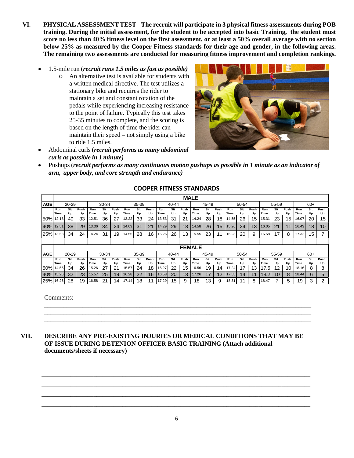- **VI. PHYSICAL ASSESSMENTTEST - The recruit will participate in 3 physical fitness assessments during POB training. During the initial assessment, for the student to be accepted into basic Training, the student must score no less than 40% fitness level on the first assessment, or at least a 50% overall average with no section below 25% as measured by the Cooper Fitness standards for their age and gender, in the following areas. The remaining two assessments are conducted for measuring fitness improvement and completion rankings.**
	- 1.5-mile run (*recruit runs 1.5 miles as fast as possible)*
		- o An alternative test is available for students with a written medical directive. The test utilizes a stationary bike and requires the rider to maintain a set and constant rotation of the pedals while experiencing increasing resistance to the point of failure. Typically this test takes 25-35 minutes to complete, and the scoring is based on the length of time the rider can maintain their speed – not simply using a bike to ride 1.5 miles.





• Pushups (*recruit performs as many continuous motion pushups as possible in 1 minute as an indicator of arm, upper body, and core strength and endurance)*

|            | <b>MALE</b>   |           |            |             |           |            |             |           |            |             |           |            |             |           |            |             |           |            |             |           |            |             |           |            |
|------------|---------------|-----------|------------|-------------|-----------|------------|-------------|-----------|------------|-------------|-----------|------------|-------------|-----------|------------|-------------|-----------|------------|-------------|-----------|------------|-------------|-----------|------------|
| <b>AGE</b> | 20-29         |           | 30-34      |             |           | 35-39      |             |           | 40-44      |             |           | 45-49      |             |           | 50-54      |             |           | 55-59      |             |           | $60+$      |             |           |            |
|            | Run<br>Time   | Sit<br>Up | Push<br>Up | Run<br>Time | Sit<br>Up | Push<br>Up | Run<br>Time | Sit<br>Up | Push<br>Up | Run<br>Time | Sit<br>Up | Push<br>Up | Run<br>Time | Sit<br>Up | Push<br>Up | Run<br>Time | Sit<br>Up | Push<br>Up | Run<br>Time | Sit<br>Up | Push<br>Up | Run<br>Time | Sit<br>Up | Push<br>Up |
| <b>50%</b> | 12.18         | 40        | 33         | 12.51       | 36        | 27         | 13.22       | 33        | 24         | 13.53       | 31        | 21         | 14.24       | 28        | 18         | 4.55        | 26        | 15         | 15.31       | 23        | 15         | 16.07       | 20        | 15         |
| 40%        | 12.51         | 38        | 29         | 13.36       | 34        | 24         | 14.03       | 31        | 21         | 14.29       | 29        | 18         | 14.58       | 26        | 15         | 15.26       | 24        | 13         | 16.05       | 21        | 11         | 16.43       | 18        | 10         |
| 25%        | 13.53         | 34        | 24         | 14.24       | 31        | 19         | 14.55       | 28        | 16         | 15.26       | 26        | 13         | 15.55       | 23        | 11         | 16.23       | 20        | 9          | 16.58       | 17        | 8          | 17.32       | 15        |            |
|            |               |           |            |             |           |            |             |           |            |             |           |            |             |           |            |             |           |            |             |           |            |             |           |            |
|            | <b>FEMALE</b> |           |            |             |           |            |             |           |            |             |           |            |             |           |            |             |           |            |             |           |            |             |           |            |
| <b>AGE</b> |               | 20-29     |            |             | 30-34     |            |             | 35-39     |            |             | 40-44     |            |             | 45-49     |            |             | 50-54     |            |             | 55-59     |            |             | $60+$     |            |
|            | Run<br>Time   | Sit<br>Up | Push<br>Up | Run<br>Time | Sit<br>Up | Push<br>Up | Run<br>Time | Sit<br>Up | Push<br>Up | Run<br>Time | Sit<br>Up | Push<br>Up | Run<br>Time | Sit<br>Up | Push<br>Up | Run<br>Time | Sit<br>Up | Push<br>Up | Run<br>Time | Sit<br>Up | Push<br>Up | Run<br>Time | Sit<br>Up | Push<br>Up |
| 50% 14.55  |               | 34        | 26         | 15.26       | 27        | 21         | 15.57       | 24        | 18         | 16.27       | 22        | 15         | 16.56       | 19        | 14         | 7.24        | 17        | 13         | .7.5!       | 12        | 10         | 18.16       | 8         | 8          |
| 40%        | 15.26         | 32        | 23         | 15.57       | 25        | 19         | 16.28       | 22        | 16         | 16.58       | 20        | 13         | 17.26       | 17        | 12         | 17.55       | 14        | 11         | 18.2        | 10        | 8          | 18.44       | 6         | 5          |
| 25% 16.26  |               | 28        | 19         | 16.58       | 21        | 14         | 17.14       | 18        | 11         | 17.29       | 15        | 9          | 18          | 13        | 9          | 18.31       | 44        | 8          | 18.47       |           | 5          | 19          | 3         | 2          |

\_\_\_\_\_\_\_\_\_\_\_\_\_\_\_\_\_\_\_\_\_\_\_\_\_\_\_\_\_\_\_\_\_\_\_\_\_\_\_\_\_\_\_\_\_\_\_\_\_\_\_\_\_\_\_\_\_\_\_\_\_\_\_\_\_\_\_\_\_\_\_\_\_\_\_\_\_\_\_\_\_\_\_\_ \_\_\_\_\_\_\_\_\_\_\_\_\_\_\_\_\_\_\_\_\_\_\_\_\_\_\_\_\_\_\_\_\_\_\_\_\_\_\_\_\_\_\_\_\_\_\_\_\_\_\_\_\_\_\_\_\_\_\_\_\_\_\_\_\_\_\_\_\_\_\_\_\_\_\_\_\_\_\_\_\_\_\_\_ \_\_\_\_\_\_\_\_\_\_\_\_\_\_\_\_\_\_\_\_\_\_\_\_\_\_\_\_\_\_\_\_\_\_\_\_\_\_\_\_\_\_\_\_\_\_\_\_\_\_\_\_\_\_\_\_\_\_\_\_\_\_\_\_\_\_\_\_\_\_\_\_\_\_\_\_\_\_\_\_\_\_\_\_

#### **COOPER FITNESS STANDARDS**

Comments:

#### **VII. DESCRIBE ANY PRE-EXISTING INJURIES OR MEDICAL CONDITIONS THAT MAY BE OF ISSUE DURING DETENION OFFICER BASIC TRAINING (Attach additional documents/sheets if necessary)**

**\_\_\_\_\_\_\_\_\_\_\_\_\_\_\_\_\_\_\_\_\_\_\_\_\_\_\_\_\_\_\_\_\_\_\_\_\_\_\_\_\_\_\_\_\_\_\_\_\_\_\_\_\_\_\_\_\_\_\_\_\_\_\_\_\_\_\_\_\_\_\_\_\_\_\_\_\_\_\_\_\_\_\_\_\_\_\_\_\_\_\_\_\_ \_\_\_\_\_\_\_\_\_\_\_\_\_\_\_\_\_\_\_\_\_\_\_\_\_\_\_\_\_\_\_\_\_\_\_\_\_\_\_\_\_\_\_\_\_\_\_\_\_\_\_\_\_\_\_\_\_\_\_\_\_\_\_\_\_\_\_\_\_\_\_\_\_\_\_\_\_\_\_\_\_\_\_\_\_\_\_\_\_\_\_\_\_ \_\_\_\_\_\_\_\_\_\_\_\_\_\_\_\_\_\_\_\_\_\_\_\_\_\_\_\_\_\_\_\_\_\_\_\_\_\_\_\_\_\_\_\_\_\_\_\_\_\_\_\_\_\_\_\_\_\_\_\_\_\_\_\_\_\_\_\_\_\_\_\_\_\_\_\_\_\_\_\_\_\_\_\_\_\_\_\_\_\_\_\_\_ \_\_\_\_\_\_\_\_\_\_\_\_\_\_\_\_\_\_\_\_\_\_\_\_\_\_\_\_\_\_\_\_\_\_\_\_\_\_\_\_\_\_\_\_\_\_\_\_\_\_\_\_\_\_\_\_\_\_\_\_\_\_\_\_\_\_\_\_\_\_\_\_\_\_\_\_\_\_\_\_\_\_\_\_\_\_\_\_\_\_\_\_\_ \_\_\_\_\_\_\_\_\_\_\_\_\_\_\_\_\_\_\_\_\_\_\_\_\_\_\_\_\_\_\_\_\_\_\_\_\_\_\_\_\_\_\_\_\_\_\_\_\_\_\_\_\_\_\_\_\_\_\_\_\_\_\_\_\_\_\_\_\_\_\_\_\_\_\_\_\_\_\_\_\_\_\_\_\_\_\_\_\_\_\_\_\_**